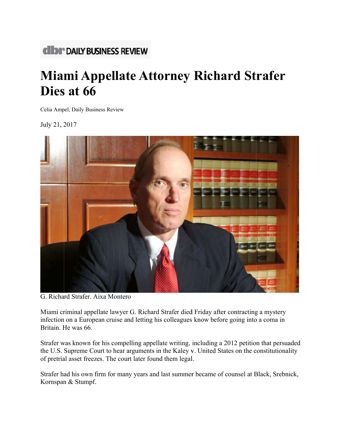## **CIDI \*\* DAILY BUSINESS REVIEW**

## **Miami Appellate Attorney Richard Strafer Dies** at 66

Celia Ampel, Daily Business Review

July 21, 2 2017



G. Richard Strafer. Aixa Montero

Miami criminal appellate lawyer G. Richard Strafer died Friday after contracting a mystery infection on a European cruise and letting his colleagues know before going into a coma in Britain. He was 66.

Strafer was known for his compelling appellate writing, including a 2012 petition that persuaded the U.S. Supreme Court to hear arguments in the Kaley v. United States on the constitutionality of pretrial asset freezes. The court later found them legal.

Strafer had his own firm for many years and last summer became of counsel at Black, Srebnick, Kornspan & Stumpf.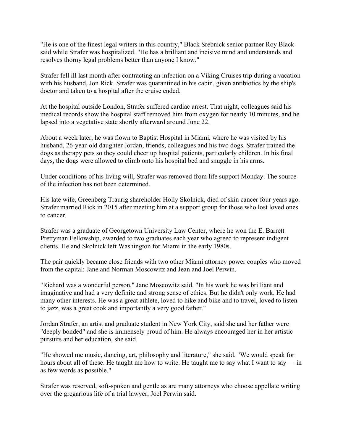"He is one of the finest legal writers in this country," Black Srebnick senior partner Roy Black said while Strafer was hospitalized. "He has a brilliant and incisive mind and understands and resolves thorny legal problems better than anyone I know."

Strafer fell ill last month after contracting an infection on a Viking Cruises trip during a vacation with his husband, Jon Rick. Strafer was quarantined in his cabin, given antibiotics by the ship's doctor and taken to a hospital after the cruise ended.

At the hospital outside London, Strafer suffered cardiac arrest. That night, colleagues said his medical records show the hospital staff removed him from oxygen for nearly 10 minutes, and he lapsed into a vegetative state shortly afterward around June 22.

About a week later, he was flown to Baptist Hospital in Miami, where he was visited by his husband, 26-year-old daughter Jordan, friends, colleagues and his two dogs. Strafer trained the dogs as therapy pets so they could cheer up hospital patients, particularly children. In his final days, the dogs were allowed to climb onto his hospital bed and snuggle in his arms.

Under conditions of his living will, Strafer was removed from life support Monday. The source of the infection has not been determined.

His late wife, Greenberg Traurig shareholder Holly Skolnick, died of skin cancer four years ago. Strafer married Rick in 2015 after meeting him at a support group for those who lost loved ones to cancer.

Strafer was a graduate of Georgetown University Law Center, where he won the E. Barrett Prettyman Fellowship, awarded to two graduates each year who agreed to represent indigent clients. He and Skolnick left Washington for Miami in the early 1980s.

The pair quickly became close friends with two other Miami attorney power couples who moved from the capital: Jane and Norman Moscowitz and Jean and Joel Perwin.

"Richard was a wonderful person," Jane Moscowitz said. "In his work he was brilliant and imaginative and had a very definite and strong sense of ethics. But he didn't only work. He had many other interests. He was a great athlete, loved to hike and bike and to travel, loved to listen to jazz, was a great cook and importantly a very good father."

Jordan Strafer, an artist and graduate student in New York City, said she and her father were "deeply bonded" and she is immensely proud of him. He always encouraged her in her artistic pursuits and her education, she said.

"He showed me music, dancing, art, philosophy and literature," she said. "We would speak for hours about all of these. He taught me how to write. He taught me to say what I want to say — in as few words as possible."

Strafer was reserved, soft-spoken and gentle as are many attorneys who choose appellate writing over the gregarious life of a trial lawyer, Joel Perwin said.